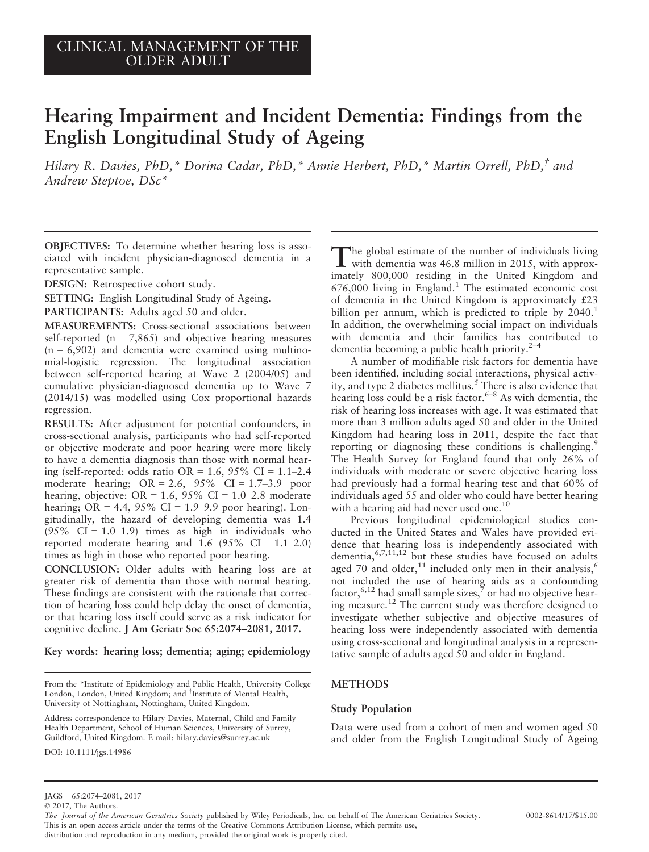# Hearing Impairment and Incident Dementia: Findings from the English Longitudinal Study of Ageing

Hilary R. Davies, PhD,\* Dorina Cadar, PhD,\* Annie Herbert, PhD,\* Martin Orrell, PhD,† and Andrew Steptoe, DSc\*

OBJECTIVES: To determine whether hearing loss is associated with incident physician-diagnosed dementia in a representative sample.

DESIGN: Retrospective cohort study.

SETTING: English Longitudinal Study of Ageing.

PARTICIPANTS: Adults aged 50 and older.

MEASUREMENTS: Cross-sectional associations between self-reported  $(n = 7,865)$  and objective hearing measures  $(n = 6,902)$  and dementia were examined using multinomial-logistic regression. The longitudinal association between self-reported hearing at Wave 2 (2004/05) and cumulative physician-diagnosed dementia up to Wave 7 (2014/15) was modelled using Cox proportional hazards regression.

RESULTS: After adjustment for potential confounders, in cross-sectional analysis, participants who had self-reported or objective moderate and poor hearing were more likely to have a dementia diagnosis than those with normal hearing (self-reported: odds ratio OR =  $1.6$ ,  $95\%$  CI =  $1.1-2.4$ moderate hearing;  $OR = 2.6$ ,  $95\%$  CI = 1.7–3.9 poor hearing, objective: OR =  $1.6$ ,  $95\%$  CI =  $1.0-2.8$  moderate hearing;  $OR = 4.4$ ,  $95\%$   $CI = 1.9-9.9$  poor hearing). Longitudinally, the hazard of developing dementia was 1.4  $(95\% \text{ CI} = 1.0-1.9)$  times as high in individuals who reported moderate hearing and 1.6 (95% CI =  $1.1-2.0$ ) times as high in those who reported poor hearing.

CONCLUSION: Older adults with hearing loss are at greater risk of dementia than those with normal hearing. These findings are consistent with the rationale that correction of hearing loss could help delay the onset of dementia, or that hearing loss itself could serve as a risk indicator for cognitive decline. J Am Geriatr Soc 65:2074–2081, 2017.

Key words: hearing loss; dementia; aging; epidemiology

DOI: 10.1111/jgs.14986

The global estimate of the number of individuals living<br>with dementia was 46.8 million in 2015, with approximately 800,000 residing in the United Kingdom and  $676,000$  living in England.<sup>1</sup> The estimated economic cost of dementia in the United Kingdom is approximately £23 billion per annum, which is predicted to triple by 2040.<sup>1</sup> In addition, the overwhelming social impact on individuals with dementia and their families has contributed to dementia becoming a public health priority. $2^{-4}$ 

A number of modifiable risk factors for dementia have been identified, including social interactions, physical activity, and type 2 diabetes mellitus.<sup>5</sup> There is also evidence that hearing loss could be a risk factor. $6-8$  As with dementia, the risk of hearing loss increases with age. It was estimated that more than 3 million adults aged 50 and older in the United Kingdom had hearing loss in 2011, despite the fact that reporting or diagnosing these conditions is challenging.<sup>9</sup> The Health Survey for England found that only 26% of individuals with moderate or severe objective hearing loss had previously had a formal hearing test and that 60% of individuals aged 55 and older who could have better hearing with a hearing aid had never used one.<sup>10</sup>

Previous longitudinal epidemiological studies conducted in the United States and Wales have provided evidence that hearing loss is independently associated with dementia,  $6,7,11,12$  but these studies have focused on adults aged 70 and older,<sup>11</sup> included only men in their analysis,<sup>6</sup> not included the use of hearing aids as a confounding factor,  $6,12$  had small sample sizes,  $\tilde{7}$  or had no objective hearing measure.12 The current study was therefore designed to investigate whether subjective and objective measures of hearing loss were independently associated with dementia using cross-sectional and longitudinal analysis in a representative sample of adults aged 50 and older in England.

# METHODS

## Study Population

Data were used from a cohort of men and women aged 50 and older from the English Longitudinal Study of Ageing

From the \*Institute of Epidemiology and Public Health, University College London, London, United Kingdom; and † Institute of Mental Health, University of Nottingham, Nottingham, United Kingdom.

Address correspondence to Hilary Davies, Maternal, Child and Family Health Department, School of Human Sciences, University of Surrey, Guildford, United Kingdom. E-mail: hilary.davies@surrey.ac.uk

JAGS 65:2074–2081, 2017

<sup>©</sup> 2017, The Authors.

The Journal of the American Geriatrics Society published by Wiley Periodicals, Inc. on behalf of The American Geriatrics Society. 0002-8614/17/\$15.00 This is an open access article under the terms of the [Creative Commons Attribution](http://creativecommons.org/licenses/by/4.0/) License, which permits use,

distribution and reproduction in any medium, provided the original work is properly cited.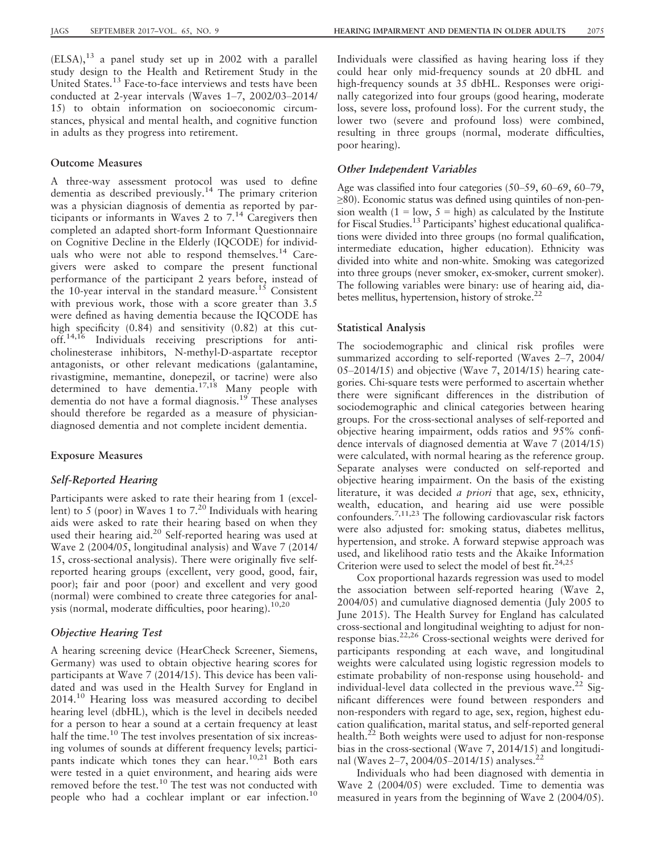$(ELSA)$ ,  $^{13}$  a panel study set up in 2002 with a parallel study design to the Health and Retirement Study in the United States.<sup>13</sup> Face-to-face interviews and tests have been conducted at 2-year intervals (Waves 1–7, 2002/03–2014/ 15) to obtain information on socioeconomic circumstances, physical and mental health, and cognitive function in adults as they progress into retirement.

## Outcome Measures

A three-way assessment protocol was used to define dementia as described previously.<sup>14</sup> The primary criterion was a physician diagnosis of dementia as reported by participants or informants in Waves 2 to  $7<sup>14</sup>$  Caregivers then completed an adapted short-form Informant Questionnaire on Cognitive Decline in the Elderly (IQCODE) for individuals who were not able to respond themselves.<sup>14</sup> Caregivers were asked to compare the present functional performance of the participant 2 years before, instead of the 10-year interval in the standard measure.<sup>15</sup> Consistent with previous work, those with a score greater than 3.5 were defined as having dementia because the IQCODE has high specificity (0.84) and sensitivity (0.82) at this cutoff.14,16 Individuals receiving prescriptions for anticholinesterase inhibitors, N-methyl-D-aspartate receptor antagonists, or other relevant medications (galantamine, rivastigmine, memantine, donepezil, or tacrine) were also determined to have dementia.<sup>17,18</sup> Many people with dementia do not have a formal diagnosis.<sup>19</sup> These analyses should therefore be regarded as a measure of physiciandiagnosed dementia and not complete incident dementia.

## Exposure Measures

# Self-Reported Hearing

Participants were asked to rate their hearing from 1 (excellent) to 5 (poor) in Waves 1 to 7.<sup>20</sup> Individuals with hearing aids were asked to rate their hearing based on when they used their hearing aid.<sup>20</sup> Self-reported hearing was used at Wave 2 (2004/05, longitudinal analysis) and Wave 7 (2014/ 15, cross-sectional analysis). There were originally five selfreported hearing groups (excellent, very good, good, fair, poor); fair and poor (poor) and excellent and very good (normal) were combined to create three categories for analysis (normal, moderate difficulties, poor hearing).<sup>10,20</sup>

# Objective Hearing Test

A hearing screening device (HearCheck Screener, Siemens, Germany) was used to obtain objective hearing scores for participants at Wave 7 (2014/15). This device has been validated and was used in the Health Survey for England in  $2014<sup>10</sup>$  Hearing loss was measured according to decibel hearing level (dbHL), which is the level in decibels needed for a person to hear a sound at a certain frequency at least half the time.<sup>10</sup> The test involves presentation of six increasing volumes of sounds at different frequency levels; participants indicate which tones they can hear.<sup>10,21</sup> Both ears were tested in a quiet environment, and hearing aids were removed before the test.<sup>10</sup> The test was not conducted with people who had a cochlear implant or ear infection.<sup>10</sup>

Individuals were classified as having hearing loss if they could hear only mid-frequency sounds at 20 dbHL and high-frequency sounds at 35 dbHL. Responses were originally categorized into four groups (good hearing, moderate loss, severe loss, profound loss). For the current study, the lower two (severe and profound loss) were combined, resulting in three groups (normal, moderate difficulties, poor hearing).

## Other Independent Variables

Age was classified into four categories (50–59, 60–69, 60–79, ≥80). Economic status was defined using quintiles of non-pension wealth  $(1 = low, 5 = high)$  as calculated by the Institute for Fiscal Studies.<sup>13</sup> Participants' highest educational qualifications were divided into three groups (no formal qualification, intermediate education, higher education). Ethnicity was divided into white and non-white. Smoking was categorized into three groups (never smoker, ex-smoker, current smoker). The following variables were binary: use of hearing aid, diabetes mellitus, hypertension, history of stroke. $^{22}$ 

#### Statistical Analysis

The sociodemographic and clinical risk profiles were summarized according to self-reported (Waves 2–7, 2004/ 05–2014/15) and objective (Wave 7, 2014/15) hearing categories. Chi-square tests were performed to ascertain whether there were significant differences in the distribution of sociodemographic and clinical categories between hearing groups. For the cross-sectional analyses of self-reported and objective hearing impairment, odds ratios and 95% confidence intervals of diagnosed dementia at Wave 7 (2014/15) were calculated, with normal hearing as the reference group. Separate analyses were conducted on self-reported and objective hearing impairment. On the basis of the existing literature, it was decided *a priori* that age, sex, ethnicity, wealth, education, and hearing aid use were possible confounders.<sup>7,11,23</sup> The following cardiovascular risk factors were also adjusted for: smoking status, diabetes mellitus, hypertension, and stroke. A forward stepwise approach was used, and likelihood ratio tests and the Akaike Information Criterion were used to select the model of best fit.<sup>24,25</sup>

Cox proportional hazards regression was used to model the association between self-reported hearing (Wave 2, 2004/05) and cumulative diagnosed dementia (July 2005 to June 2015). The Health Survey for England has calculated cross-sectional and longitudinal weighting to adjust for nonresponse bias.22,26 Cross-sectional weights were derived for participants responding at each wave, and longitudinal weights were calculated using logistic regression models to estimate probability of non-response using household- and individual-level data collected in the previous wave.<sup>22</sup> Significant differences were found between responders and non-responders with regard to age, sex, region, highest education qualification, marital status, and self-reported general health.<sup>22</sup> Both weights were used to adjust for non-response bias in the cross-sectional (Wave 7, 2014/15) and longitudinal (Waves 2–7, 2004/05–2014/15) analyses.<sup>2</sup>

Individuals who had been diagnosed with dementia in Wave 2 (2004/05) were excluded. Time to dementia was measured in years from the beginning of Wave 2 (2004/05).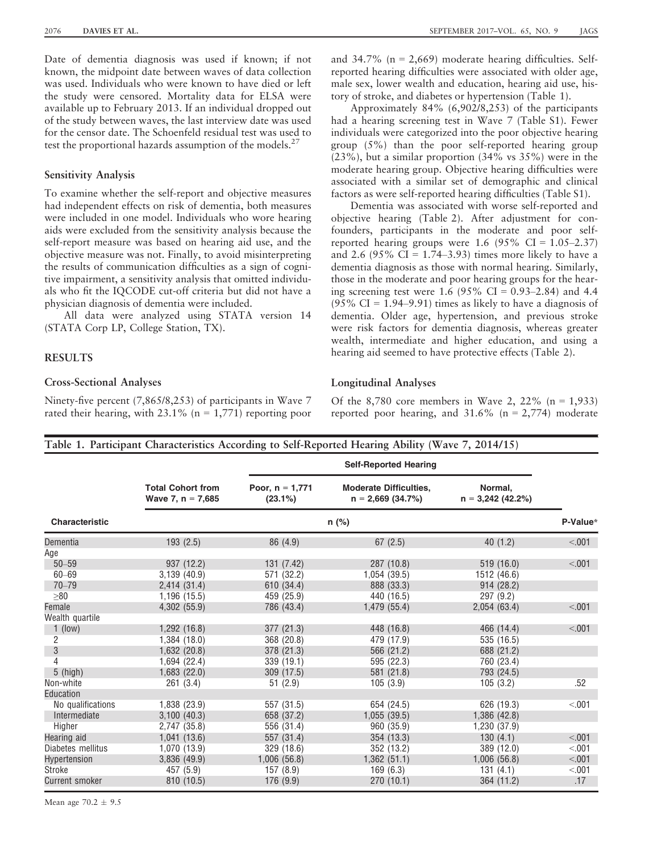Date of dementia diagnosis was used if known; if not known, the midpoint date between waves of data collection was used. Individuals who were known to have died or left the study were censored. Mortality data for ELSA were available up to February 2013. If an individual dropped out of the study between waves, the last interview date was used for the censor date. The Schoenfeld residual test was used to test the proportional hazards assumption of the models.<sup>27</sup>

## Sensitivity Analysis

To examine whether the self-report and objective measures had independent effects on risk of dementia, both measures were included in one model. Individuals who wore hearing aids were excluded from the sensitivity analysis because the self-report measure was based on hearing aid use, and the objective measure was not. Finally, to avoid misinterpreting the results of communication difficulties as a sign of cognitive impairment, a sensitivity analysis that omitted individuals who fit the IQCODE cut-off criteria but did not have a physician diagnosis of dementia were included.

All data were analyzed using STATA version 14 (STATA Corp LP, College Station, TX).

## RESULTS

## Cross-Sectional Analyses

Ninety-five percent (7,865/8,253) of participants in Wave 7 rated their hearing, with  $23.1\%$  (n = 1,771) reporting poor and  $34.7\%$  (n = 2,669) moderate hearing difficulties. Selfreported hearing difficulties were associated with older age, male sex, lower wealth and education, hearing aid use, history of stroke, and diabetes or hypertension (Table 1).

Approximately 84% (6,902/8,253) of the participants had a hearing screening test in Wave 7 (Table S1). Fewer individuals were categorized into the poor objective hearing group (5%) than the poor self-reported hearing group (23%), but a similar proportion (34% vs 35%) were in the moderate hearing group. Objective hearing difficulties were associated with a similar set of demographic and clinical factors as were self-reported hearing difficulties (Table S1).

Dementia was associated with worse self-reported and objective hearing (Table 2). After adjustment for confounders, participants in the moderate and poor selfreported hearing groups were 1.6  $(95\% \text{ CI} = 1.05-2.37)$ and 2.6 (95%  $CI = 1.74{\text -}3.93$ ) times more likely to have a dementia diagnosis as those with normal hearing. Similarly, those in the moderate and poor hearing groups for the hearing screening test were 1.6 (95% CI =  $0.93-2.84$ ) and 4.4  $(95\% \text{ CI} = 1.94 - 9.91)$  times as likely to have a diagnosis of dementia. Older age, hypertension, and previous stroke were risk factors for dementia diagnosis, whereas greater wealth, intermediate and higher education, and using a hearing aid seemed to have protective effects (Table 2).

## Longitudinal Analyses

Of the 8,780 core members in Wave 2, 22% ( $n = 1,933$ ) reported poor hearing, and  $31.6\%$  (n = 2,774) moderate

# Table 1. Participant Characteristics According to Self-Reported Hearing Ability (Wave 7, 2014/15)

|                       |                                                 | <b>Self-Reported Hearing</b>    |                                                     |                                |         |  |
|-----------------------|-------------------------------------------------|---------------------------------|-----------------------------------------------------|--------------------------------|---------|--|
|                       | <b>Total Cohort from</b><br>Wave 7, $n = 7,685$ | Poor, $n = 1,771$<br>$(23.1\%)$ | <b>Moderate Difficulties,</b><br>$n = 2,669(34.7%)$ | Normal.<br>$n = 3,242$ (42.2%) |         |  |
| <b>Characteristic</b> | n (%)                                           |                                 |                                                     |                                |         |  |
| Dementia              | 193(2.5)                                        | 86 (4.9)                        | 67(2.5)                                             | 40(1.2)                        | < .001  |  |
| Age                   |                                                 |                                 |                                                     |                                |         |  |
| $50 - 59$             | 937 (12.2)                                      | 131 (7.42)                      | 287 (10.8)                                          | 519 (16.0)                     | < .001  |  |
| $60 - 69$             | 3,139 (40.9)                                    | 571 (32.2)                      | 1,054(39.5)                                         | 1512 (46.6)                    |         |  |
| $70 - 79$             | 2,414(31.4)                                     | 610 (34.4)                      | 888 (33.3)                                          | 914(28.2)                      |         |  |
| >80                   | 1,196 (15.5)                                    | 459 (25.9)                      | 440 (16.5)                                          | 297 (9.2)                      |         |  |
| Female                | 4,302 (55.9)                                    | 786 (43.4)                      | 1,479 (55.4)                                        | 2,054(63.4)                    | < 0.01  |  |
| Wealth quartile       |                                                 |                                 |                                                     |                                |         |  |
| $1$ (low)             | 1,292(16.8)                                     | 377 (21.3)                      | 448 (16.8)                                          | 466 (14.4)                     | < 0.001 |  |
| 2                     | 1,384(18.0)                                     | 368 (20.8)                      | 479 (17.9)                                          | 535 (16.5)                     |         |  |
| 3                     | 1,632 (20.8)                                    | 378 (21.3)                      | 566 (21.2)                                          | 688 (21.2)                     |         |  |
| 4                     | 1,694 (22.4)                                    | 339(19.1)                       | 595 (22.3)                                          | 760 (23.4)                     |         |  |
| $5$ (high)            | 1,683(22.0)                                     | 309 (17.5)                      | 581 (21.8)                                          | 793 (24.5)                     |         |  |
| Non-white             | 261(3.4)                                        | 51(2.9)                         | 105(3.9)                                            | 105(3.2)                       | .52     |  |
| Education             |                                                 |                                 |                                                     |                                |         |  |
| No qualifications     | 1,838 (23.9)                                    | 557 (31.5)                      | 654 (24.5)                                          | 626 (19.3)                     | < 0.01  |  |
| Intermediate          | 3,100(40.3)                                     | 658 (37.2)                      | 1,055(39.5)                                         | 1,386(42.8)                    |         |  |
| Higher                | 2,747 (35.8)                                    | 556 (31.4)                      | 960 (35.9)                                          | 1,230 (37.9)                   |         |  |
| Hearing aid           | 1,041(13.6)                                     | 557 (31.4)                      | 354 (13.3)                                          | 130(4.1)                       | < 0.001 |  |
| Diabetes mellitus     | 1,070 (13.9)                                    | 329 (18.6)                      | 352 (13.2)                                          | 389 (12.0)                     | < 001   |  |
| Hypertension          | 3,836 (49.9)                                    | 1,006(56.8)                     | 1,362(51.1)                                         | 1,006(56.8)                    | < 001   |  |
| Stroke                | 457 (5.9)                                       | 157(8.9)                        | 169(6.3)                                            | 131(4.1)                       | < 0.01  |  |
| <b>Current smoker</b> | 810 (10.5)                                      | 176(9.9)                        | 270(10.1)                                           | 364 (11.2)                     | .17     |  |

Mean age  $70.2 \pm 9.5$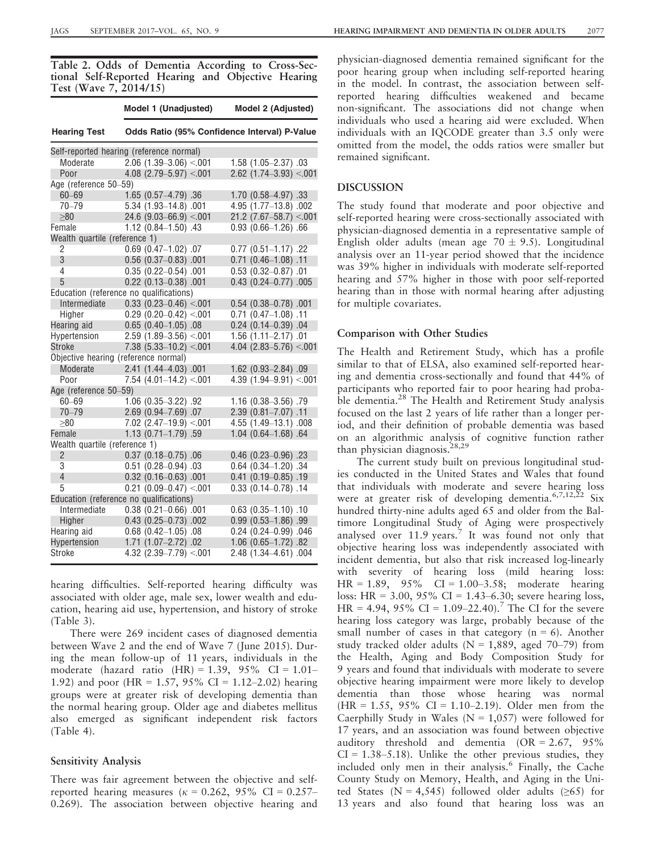Table 2. Odds of Dementia According to Cross-Sectional Self-Reported Hearing and Objective Hearing Test (Wave 7, 2014/15)

|                                         | Model 1 (Unadjusted)                         | Model 2 (Adjusted)           |  |  |  |  |
|-----------------------------------------|----------------------------------------------|------------------------------|--|--|--|--|
| <b>Hearing Test</b>                     | Odds Ratio (95% Confidence Interval) P-Value |                              |  |  |  |  |
|                                         | Self-reported hearing (reference normal)     |                              |  |  |  |  |
| Moderate                                | $2.06$ $(1.39 - 3.06)$ < 001                 | 1.58 (1.05-2.37) .03         |  |  |  |  |
| Poor                                    | $4.08$ (2.79-5.97) <.001                     | $2.62$ (1.74-3.93) <.001     |  |  |  |  |
| Age (reference 50-59)                   |                                              |                              |  |  |  |  |
| $60 - 69$                               | 1.65 (0.57-4.79) .36                         | 1.70 (0.58-4.97) .33         |  |  |  |  |
| $70 - 79$                               | 5.34 (1.93-14.8) .001                        | 4.95 (1.77-13.8) .002        |  |  |  |  |
| $\geq 80$                               | 24.6 $(9.03 - 66.9) < 001$                   | $21.2$ (7.67-58.7) <.001     |  |  |  |  |
| Female                                  | 1.12 (0.84-1.50) .43                         | $0.93$ $(0.66 - 1.26)$ .66   |  |  |  |  |
| Wealth quartile (reference 1)           |                                              |                              |  |  |  |  |
| 2                                       | $0.69$ $(0.47-1.02)$ .07                     | $0.77$ $(0.51 - 1.17)$ .22   |  |  |  |  |
| 3                                       | $0.56$ (0.37-0.83) .001                      | $0.71$ $(0.46-1.08)$ .11     |  |  |  |  |
| 4                                       | $0.35(0.22 - 0.54)$ .001                     | $0.53$ $(0.32 - 0.87)$ .01   |  |  |  |  |
| 5                                       | $0.22$ (0.13-0.38) .001                      | $0.43$ (0.24-0.77) .005      |  |  |  |  |
|                                         | Education (reference no qualifications)      |                              |  |  |  |  |
| Intermediate                            | $0.33$ (0.23-0.46) < 001                     | $0.54$ (0.38-0.78) .001      |  |  |  |  |
| Higher                                  | $0.29$ (0.20-0.42) <.001                     | $0.71$ $(0.47-1.08)$ .11     |  |  |  |  |
| Hearing aid                             | $0.65$ $(0.40-1.05)$ .08                     | $0.24$ (0.14-0.39) .04       |  |  |  |  |
| Hypertension                            | $2.59$ (1.89-3.56) < 001                     | $1.56$ $(1.11 - 2.17)$ .01   |  |  |  |  |
| Stroke                                  | $7.38$ (5.33-10.2) <.001                     | 4.04 (2.83-5.76) < 001       |  |  |  |  |
| Objective hearing (reference normal)    |                                              |                              |  |  |  |  |
| Moderate                                | 2.41 (1.44-4.03) .001                        | 1.62 (0.93-2.84) .09         |  |  |  |  |
| Poor                                    | $7.54$ (4.01-14.2) <.001                     | 4.39 $(1.94 - 9.91) < 0.001$ |  |  |  |  |
| Age (reference 50-59)                   |                                              |                              |  |  |  |  |
| $60 - 69$                               | 1.06 (0.35-3.22) .92                         | 1.16 (0.38-3.56) .79         |  |  |  |  |
| $70 - 79$                               | 2.69 (0.94-7.69) .07                         | 2.39 (0.81-7.07) .11         |  |  |  |  |
| $> \!\! 80$                             | $7.02$ (2.47-19.9) <.001                     | 4.55 (1.49-13.1) .008        |  |  |  |  |
| Female                                  | 1.13 (0.71-1.79) .59                         | $1.04$ $(0.64 - 1.68)$ .64   |  |  |  |  |
| Wealth quartile (reference 1)           |                                              |                              |  |  |  |  |
| $\overline{2}$                          | $0.37$ $(0.18 - 0.75)$ .06                   | $0.46$ $(0.23 - 0.96)$ .23   |  |  |  |  |
| 3                                       | $0.51$ $(0.28 - 0.94)$ .03                   | $0.64$ $(0.34 - 1.20)$ .34   |  |  |  |  |
| $\overline{4}$                          | $0.32$ (0.16-0.63) .001                      | $0.41$ (0.19 $-0.85$ ) .19   |  |  |  |  |
| 5                                       | $0.21$ (0.09-0.47) <.001                     | $0.33$ $(0.14 - 0.78)$ .14   |  |  |  |  |
| Education (reference no qualifications) |                                              |                              |  |  |  |  |
| Intermediate                            | $0.38$ (0.21-0.66) .001                      | $0.63$ $(0.35 - 1.10)$ .10   |  |  |  |  |
| Higher                                  | $0.43$ $(0.25 - 0.73)$ .002                  | $0.99$ $(0.53 - 1.86)$ .99   |  |  |  |  |
| Hearing aid                             | $0.68$ (0.42-1.05) .08                       | 0.24 (0.24-0.99) .046        |  |  |  |  |
| Hypertension                            | 1.71 (1.07-2.72) .02                         | 1.06 (0.65-1.72) .82         |  |  |  |  |
| Stroke                                  | 4.32 $(2.39 - 7.79) < 0.001$                 | 2.48 (1.34-4.61) .004        |  |  |  |  |

hearing difficulties. Self-reported hearing difficulty was associated with older age, male sex, lower wealth and education, hearing aid use, hypertension, and history of stroke (Table 3).

There were 269 incident cases of diagnosed dementia between Wave 2 and the end of Wave 7 (June 2015). During the mean follow-up of 11 years, individuals in the moderate (hazard ratio  $(HR) = 1.39$ , 95% CI = 1.01– 1.92) and poor (HR = 1.57, 95% CI = 1.12–2.02) hearing groups were at greater risk of developing dementia than the normal hearing group. Older age and diabetes mellitus also emerged as significant independent risk factors (Table 4).

## Sensitivity Analysis

There was fair agreement between the objective and selfreported hearing measures ( $\kappa = 0.262$ , 95% CI = 0.257– 0.269). The association between objective hearing and physician-diagnosed dementia remained significant for the poor hearing group when including self-reported hearing in the model. In contrast, the association between selfreported hearing difficulties weakened and became non-significant. The associations did not change when individuals who used a hearing aid were excluded. When individuals with an IQCODE greater than 3.5 only were omitted from the model, the odds ratios were smaller but remained significant.

## DISCUSSION

The study found that moderate and poor objective and self-reported hearing were cross-sectionally associated with physician-diagnosed dementia in a representative sample of English older adults (mean age  $70 \pm 9.5$ ). Longitudinal analysis over an 11-year period showed that the incidence was 39% higher in individuals with moderate self-reported hearing and 57% higher in those with poor self-reported hearing than in those with normal hearing after adjusting for multiple covariates.

## Comparison with Other Studies

The Health and Retirement Study, which has a profile similar to that of ELSA, also examined self-reported hearing and dementia cross-sectionally and found that 44% of participants who reported fair to poor hearing had probable dementia.<sup>28</sup> The Health and Retirement Study analysis focused on the last 2 years of life rather than a longer period, and their definition of probable dementia was based on an algorithmic analysis of cognitive function rather than physician diagnosis.<sup>28,29</sup>

The current study built on previous longitudinal studies conducted in the United States and Wales that found that individuals with moderate and severe hearing loss were at greater risk of developing dementia.<sup>6,7,12,22</sup> Six hundred thirty-nine adults aged 65 and older from the Baltimore Longitudinal Study of Aging were prospectively analysed over  $11.9$  years.<sup>7</sup> It was found not only that objective hearing loss was independently associated with incident dementia, but also that risk increased log-linearly with severity of hearing loss (mild hearing loss:  $HR = 1.89, 95\%$  CI = 1.00–3.58; moderate hearing loss: HR =  $3.00, 95\%$  CI =  $1.43-6.30$ ; severe hearing loss, HR = 4.94, 95% CI =  $1.09-22.40$ ).<sup>7</sup> The CI for the severe hearing loss category was large, probably because of the small number of cases in that category  $(n = 6)$ . Another study tracked older adults ( $N = 1,889$ , aged 70–79) from the Health, Aging and Body Composition Study for 9 years and found that individuals with moderate to severe objective hearing impairment were more likely to develop dementia than those whose hearing was normal  $(HR = 1.55, 95\% \text{ CI} = 1.10{\text -}2.19)$ . Older men from the Caerphilly Study in Wales ( $N = 1,057$ ) were followed for 17 years, and an association was found between objective auditory threshold and dementia (OR = 2.67, 95%  $CI = 1.38 - 5.18$ . Unlike the other previous studies, they included only men in their analysis.<sup>6</sup> Finally, the Cache County Study on Memory, Health, and Aging in the United States (N = 4,545) followed older adults ( $\geq 65$ ) for 13 years and also found that hearing loss was an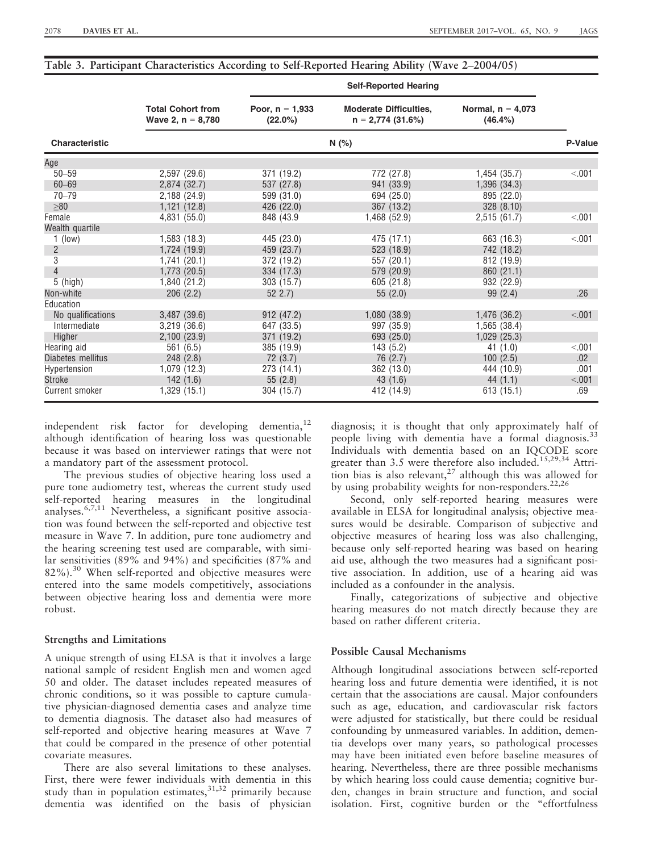|  |  |  | Table 3. Participant Characteristics According to Self-Reported Hearing Ability (Wave 2–2004/05) |
|--|--|--|--------------------------------------------------------------------------------------------------|
|  |  |  |                                                                                                  |

|                       |                                                 | <b>Self-Reported Hearing</b>    |                                                     |                                   |        |  |
|-----------------------|-------------------------------------------------|---------------------------------|-----------------------------------------------------|-----------------------------------|--------|--|
|                       | <b>Total Cohort from</b><br>Wave 2, $n = 8,780$ | Poor, $n = 1,933$<br>$(22.0\%)$ | <b>Moderate Difficulties,</b><br>$n = 2,774(31.6%)$ | Normal, $n = 4,073$<br>$(46.4\%)$ |        |  |
| <b>Characteristic</b> |                                                 | N(%)                            |                                                     |                                   |        |  |
| Age                   |                                                 |                                 |                                                     |                                   |        |  |
| $50 - 59$             | 2,597 (29.6)                                    | 371 (19.2)                      | 772 (27.8)                                          | 1,454(35.7)                       | < 001  |  |
| $60 - 69$             | 2,874 (32.7)                                    | 537 (27.8)                      | 941 (33.9)                                          | 1,396 (34.3)                      |        |  |
| $70 - 79$             | 2,188(24.9)                                     | 599 (31.0)                      | 694 (25.0)                                          | 895 (22.0)                        |        |  |
| $\geq 80$             | 1,121(12.8)                                     | 426 (22.0)                      | 367 (13.2)                                          | 328(8.10)                         |        |  |
| Female                | 4,831(55.0)                                     | 848 (43.9)                      | 1,468(52.9)                                         | 2,515(61.7)                       | < 001  |  |
| Wealth quartile       |                                                 |                                 |                                                     |                                   |        |  |
| $1$ (low)             | 1,583(18.3)                                     | 445 (23.0)                      | 475 (17.1)                                          | 663 (16.3)                        | < 0.01 |  |
| $\overline{2}$        | 1,724 (19.9)                                    | 459 (23.7)                      | 523 (18.9)                                          | 742 (18.2)                        |        |  |
| 3                     | 1,741(20.1)                                     | 372 (19.2)                      | 557 (20.1)                                          | 812 (19.9)                        |        |  |
| 4                     | 1,773 (20.5)                                    | 334 (17.3)                      | 579 (20.9)                                          | 860(21.1)                         |        |  |
| $5$ (high)            | 1,840 (21.2)                                    | 303 (15.7)                      | 605 (21.8)                                          | 932 (22.9)                        |        |  |
| Non-white             | 206(2.2)                                        | 522.7                           | 55(2.0)                                             | 99(2.4)                           | .26    |  |
| Education             |                                                 |                                 |                                                     |                                   |        |  |
| No qualifications     | 3,487 (39.6)                                    | 912 (47.2)                      | 1,080(38.9)                                         | 1,476 (36.2)                      | < 0.01 |  |
| Intermediate          | 3,219(36.6)                                     | 647 (33.5)                      | 997 (35.9)                                          | 1,565 (38.4)                      |        |  |
| Higher                | 2,100(23.9)                                     | 371 (19.2)                      | 693 (25.0)                                          | 1,029(25.3)                       |        |  |
| Hearing aid           | 561 (6.5)                                       | 385 (19.9)                      | 143(5.2)                                            | 41(1.0)                           | < 001  |  |
| Diabetes mellitus     | 248(2.8)                                        | 72 (3.7)                        | 76 (2.7)                                            | 100(2.5)                          | .02    |  |
| Hypertension          | 1,079(12.3)                                     | 273(14.1)                       | 362 (13.0)                                          | 444 (10.9)                        | .001   |  |
| <b>Stroke</b>         | 142(1.6)                                        | 55(2.8)                         | 43(1.6)                                             | 44 $(1.1)$                        | < 001  |  |
| <b>Current smoker</b> | 1,329 (15.1)                                    | 304 (15.7)                      | 412 (14.9)                                          | 613 (15.1)                        | .69    |  |

independent risk factor for developing dementia, $^{12}$ although identification of hearing loss was questionable because it was based on interviewer ratings that were not a mandatory part of the assessment protocol.

The previous studies of objective hearing loss used a pure tone audiometry test, whereas the current study used self-reported hearing measures in the longitudinal analyses.<sup>6,7,11</sup> Nevertheless, a significant positive association was found between the self-reported and objective test measure in Wave 7. In addition, pure tone audiometry and the hearing screening test used are comparable, with similar sensitivities (89% and 94%) and specificities (87% and 82%).<sup>30</sup> When self-reported and objective measures were entered into the same models competitively, associations between objective hearing loss and dementia were more robust.

## Strengths and Limitations

A unique strength of using ELSA is that it involves a large national sample of resident English men and women aged 50 and older. The dataset includes repeated measures of chronic conditions, so it was possible to capture cumulative physician-diagnosed dementia cases and analyze time to dementia diagnosis. The dataset also had measures of self-reported and objective hearing measures at Wave 7 that could be compared in the presence of other potential covariate measures.

There are also several limitations to these analyses. First, there were fewer individuals with dementia in this study than in population estimates,  $31,32$  primarily because dementia was identified on the basis of physician

diagnosis; it is thought that only approximately half of people living with dementia have a formal diagnosis.<sup>33</sup> Individuals with dementia based on an IQCODE score greater than 3.5 were therefore also included.<sup>15,29,34</sup> Attrition bias is also relevant,<sup>27</sup> although this was allowed for by using probability weights for non-responders.<sup>22,26</sup>

Second, only self-reported hearing measures were available in ELSA for longitudinal analysis; objective measures would be desirable. Comparison of subjective and objective measures of hearing loss was also challenging, because only self-reported hearing was based on hearing aid use, although the two measures had a significant positive association. In addition, use of a hearing aid was included as a confounder in the analysis.

Finally, categorizations of subjective and objective hearing measures do not match directly because they are based on rather different criteria.

# Possible Causal Mechanisms

Although longitudinal associations between self-reported hearing loss and future dementia were identified, it is not certain that the associations are causal. Major confounders such as age, education, and cardiovascular risk factors were adjusted for statistically, but there could be residual confounding by unmeasured variables. In addition, dementia develops over many years, so pathological processes may have been initiated even before baseline measures of hearing. Nevertheless, there are three possible mechanisms by which hearing loss could cause dementia; cognitive burden, changes in brain structure and function, and social isolation. First, cognitive burden or the "effortfulness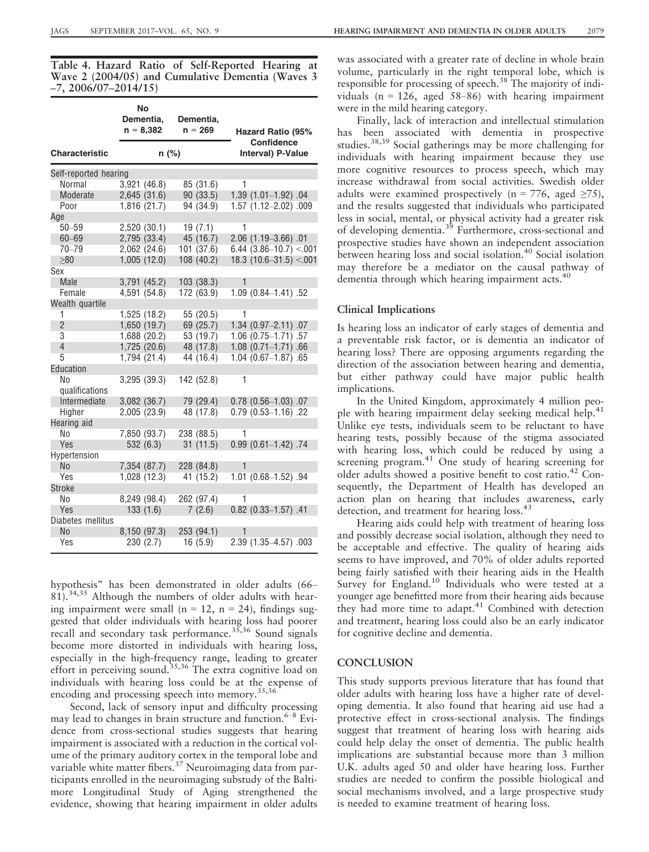Table 4. Hazard Ratio of Self-Reported Hearing at Wave 2 (2004/05) and Cumulative Dementia (Waves 3 –7, 2006/07–2014/15)

|                       | No<br>Dementia,<br>$n = 8,382$ | Dementia,<br>$n = 269$ | Hazard Ratio (95%<br>Confidence |  |  |
|-----------------------|--------------------------------|------------------------|---------------------------------|--|--|
| <b>Characteristic</b> | $n$ (%)                        |                        | Interval) P-Value               |  |  |
| Self-reported hearing |                                |                        |                                 |  |  |
| Normal                | 3,921(46.8)                    | 85 (31.6)              | 1                               |  |  |
| Moderate              | 2,645(31.6)                    | 90 (33.5)              | 1.39 (1.01-1.92) .04            |  |  |
| Poor                  | 1,816 (21.7)                   | 94 (34.9)              | 1.57 (1.12-2.02) .009           |  |  |
| Age                   |                                |                        |                                 |  |  |
| $50 - 59$             | 2,520 (30.1)                   | 19(7.1)                | 1                               |  |  |
| $60 - 69$             | 2,795 (33.4)                   | 45 (16.7)              | 2.06 (1.19-3.66) .01            |  |  |
| $70 - 79$             | 2,062 (24.6)                   | 101 (37.6)             | $6.44$ (3.86-10.7) <.001        |  |  |
| >80                   | 1,005(12.0)                    | 108 (40.2)             | 18.3 $(10.6 - 31.5) < 0.01$     |  |  |
| Sex                   |                                |                        |                                 |  |  |
| Male                  | 3,791 (45.2)                   | 103 (38.3)             | 1                               |  |  |
| Female                | 4,591 (54.8)                   | 172 (63.9)             | 1.09 (0.84-1.41) .52            |  |  |
| Wealth quartile       |                                |                        |                                 |  |  |
| 1                     | 1,525 (18.2)                   | 55 (20.5)              | 1                               |  |  |
| $\overline{2}$        | 1,650 (19.7)                   | 69 (25.7)              | 1.34 (0.97-2.11) .07            |  |  |
| 3                     | 1,688(20.2)                    | 53 (19.7)              | $1.06$ $(0.75 - 1.71)$ .57      |  |  |
| $\overline{4}$        | 1,725(20.6)                    | 48 (17.8)              | $1.08$ $(0.71 - 1.71)$ .66      |  |  |
| 5                     | 1,794 (21.4)                   | 44 (16.4)              | $1.04$ $(0.67 - 1.87)$ .65      |  |  |
| Education             |                                |                        |                                 |  |  |
| No                    | $3,295$ $(39.3)$               | 142 (52.8)             | 1                               |  |  |
| qualifications        |                                |                        |                                 |  |  |
| Intermediate          | 3,082 (36.7)                   | 79 (29.4)              | $0.78$ $(0.56 - 1.03)$ .07      |  |  |
| Higher                | 2,005 (23.9)                   | 48 (17.8)              | $0.79$ $(0.53 - 1.16)$ .22      |  |  |
| Hearing aid           |                                |                        |                                 |  |  |
| No                    | 7,850 (93.7)                   | 238 (88.5)             | 1                               |  |  |
| Yes                   | 532 (6.3)                      | 31(11.5)               | $0.99$ $(0.61 - 1.42)$ .74      |  |  |
| Hypertension          |                                |                        |                                 |  |  |
| <b>No</b>             | 7,354 (87.7)                   | 228 (84.8)             | 1                               |  |  |
| Yes                   | 1,028 (12.3)                   | 41 (15.2)              | 1.01 (0.68-1.52) .94            |  |  |
| <b>Stroke</b>         |                                |                        |                                 |  |  |
| No                    | 8,249 (98.4)                   | 262 (97.4)             | 1                               |  |  |
| Yes                   | 133(1.6)                       | 7(2.6)                 | $0.82$ $(0.33 - 1.57)$ .41      |  |  |
| Diabetes mellitus     |                                |                        |                                 |  |  |
| N <sub>o</sub>        | 8,150 (97.3)                   | 253 (94.1)             |                                 |  |  |
| Yes                   | 230 (2.7)                      | 16(5.9)                | 2.39 (1.35-4.57) .003           |  |  |

hypothesis" has been demonstrated in older adults (66– 81).34,35 Although the numbers of older adults with hearing impairment were small ( $n = 12$ ,  $n = 24$ ), findings suggested that older individuals with hearing loss had poorer recall and secondary task performance.35,36 Sound signals become more distorted in individuals with hearing loss, especially in the high-frequency range, leading to greater effort in perceiving sound.<sup>35,36</sup> The extra cognitive load on individuals with hearing loss could be at the expense of encoding and processing speech into memory.<sup>35,36</sup>

Second, lack of sensory input and difficulty processing may lead to changes in brain structure and function. $6-8$  Evidence from cross-sectional studies suggests that hearing impairment is associated with a reduction in the cortical volume of the primary auditory cortex in the temporal lobe and variable white matter fibers.<sup>37</sup> Neuroimaging data from participants enrolled in the neuroimaging substudy of the Baltimore Longitudinal Study of Aging strengthened the evidence, showing that hearing impairment in older adults was associated with a greater rate of decline in whole brain volume, particularly in the right temporal lobe, which is responsible for processing of speech.<sup>38</sup> The majority of individuals ( $n = 126$ , aged 58–86) with hearing impairment were in the mild hearing category.

Finally, lack of interaction and intellectual stimulation has been associated with dementia in prospective studies.<sup>38,39</sup> Social gatherings may be more challenging for individuals with hearing impairment because they use more cognitive resources to process speech, which may increase withdrawal from social activities. Swedish older adults were examined prospectively (n = 776, aged  $\geq$ 75), and the results suggested that individuals who participated less in social, mental, or physical activity had a greater risk of developing dementia.39 Furthermore, cross-sectional and prospective studies have shown an independent association between hearing loss and social isolation.<sup>40</sup> Social isolation may therefore be a mediator on the causal pathway of dementia through which hearing impairment acts.<sup>40</sup>

## Clinical Implications

Is hearing loss an indicator of early stages of dementia and a preventable risk factor, or is dementia an indicator of hearing loss? There are opposing arguments regarding the direction of the association between hearing and dementia, but either pathway could have major public health implications.

In the United Kingdom, approximately 4 million people with hearing impairment delay seeking medical help.<sup>41</sup> Unlike eye tests, individuals seem to be reluctant to have hearing tests, possibly because of the stigma associated with hearing loss, which could be reduced by using a screening program.<sup>41</sup> One study of hearing screening for older adults showed a positive benefit to cost ratio.<sup>42</sup> Consequently, the Department of Health has developed an action plan on hearing that includes awareness, early detection, and treatment for hearing loss.<sup>43</sup>

Hearing aids could help with treatment of hearing loss and possibly decrease social isolation, although they need to be acceptable and effective. The quality of hearing aids seems to have improved, and 70% of older adults reported being fairly satisfied with their hearing aids in the Health Survey for England.<sup>10</sup> Individuals who were tested at a younger age benefitted more from their hearing aids because they had more time to adapt.<sup>41</sup> Combined with detection and treatment, hearing loss could also be an early indicator for cognitive decline and dementia.

### **CONCLUSION**

This study supports previous literature that has found that older adults with hearing loss have a higher rate of developing dementia. It also found that hearing aid use had a protective effect in cross-sectional analysis. The findings suggest that treatment of hearing loss with hearing aids could help delay the onset of dementia. The public health implications are substantial because more than 3 million U.K. adults aged 50 and older have hearing loss. Further studies are needed to confirm the possible biological and social mechanisms involved, and a large prospective study is needed to examine treatment of hearing loss.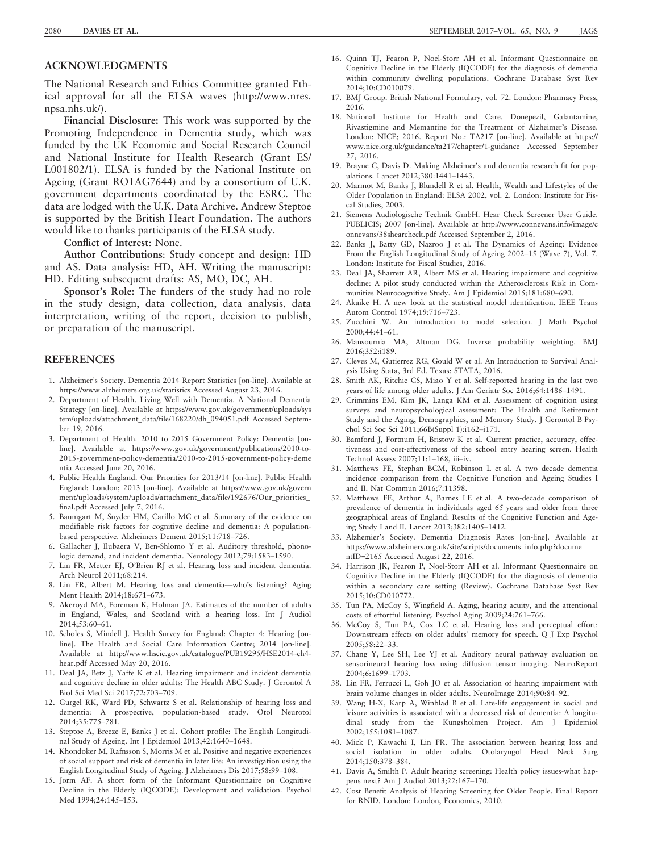# ACKNOWLEDGMENTS

The National Research and Ethics Committee granted Ethical approval for all the ELSA waves ([http://www.nres.](http://www.nres.npsa.nhs.uk/) [npsa.nhs.uk/](http://www.nres.npsa.nhs.uk/)).

Financial Disclosure: This work was supported by the Promoting Independence in Dementia study, which was funded by the UK Economic and Social Research Council and National Institute for Health Research (Grant ES/ L001802/1). ELSA is funded by the National Institute on Ageing (Grant RO1AG7644) and by a consortium of U.K. government departments coordinated by the ESRC. The data are lodged with the U.K. Data Archive. Andrew Steptoe is supported by the British Heart Foundation. The authors would like to thanks participants of the ELSA study.

Conflict of Interest: None.

Author Contributions: Study concept and design: HD and AS. Data analysis: HD, AH. Writing the manuscript: HD. Editing subsequent drafts: AS, MO, DC, AH.

Sponsor's Role: The funders of the study had no role in the study design, data collection, data analysis, data interpretation, writing of the report, decision to publish, or preparation of the manuscript.

## **REFERENCES**

- 1. Alzheimer's Society. Dementia 2014 Report Statistics [on-line]. Available at <https://www.alzheimers.org.uk/statistics> Accessed August 23, 2016.
- 2. Department of Health. Living Well with Dementia. A National Dementia Strategy [on-line]. Available at [https://www.gov.uk/government/uploads/sys](https://www.gov.uk/government/uploads/system/uploads/attachment_data/file/168220/dh_094051.pdf) [tem/uploads/attachment\\_data/file/168220/dh\\_094051.pdf](https://www.gov.uk/government/uploads/system/uploads/attachment_data/file/168220/dh_094051.pdf) Accessed September 19, 2016.
- 3. Department of Health. 2010 to 2015 Government Policy: Dementia [online]. Available at [https://www.gov.uk/government/publications/2010-to-](https://www.gov.uk/government/publications/2010-to-2015-government-policy-dementia/2010-to-2015-government-policy-dementia)[2015-government-policy-dementia/2010-to-2015-government-policy-deme](https://www.gov.uk/government/publications/2010-to-2015-government-policy-dementia/2010-to-2015-government-policy-dementia) [ntia](https://www.gov.uk/government/publications/2010-to-2015-government-policy-dementia/2010-to-2015-government-policy-dementia) Accessed June 20, 2016.
- 4. Public Health England. Our Priorities for 2013/14 [on-line]. Public Health England: London; 2013 [on-line]. Available at [https://www.gov.uk/govern](https://www.gov.uk/government/uploads/system/uploads/attachment_data/file/192676/Our_priorities_final.pdf) [ment/uploads/system/uploads/attachment\\_data/file/192676/Our\\_priorities\\_](https://www.gov.uk/government/uploads/system/uploads/attachment_data/file/192676/Our_priorities_final.pdf) [final.pdf](https://www.gov.uk/government/uploads/system/uploads/attachment_data/file/192676/Our_priorities_final.pdf) Accessed July 7, 2016.
- 5. Baumgart M, Snyder HM, Carillo MC et al. Summary of the evidence on modifiable risk factors for cognitive decline and dementia: A populationbased perspective. Alzheimers Dement 2015;11:718–726.
- 6. Gallacher J, Ilubaera V, Ben-Shlomo Y et al. Auditory threshold, phonologic demand, and incident dementia. Neurology 2012;79:1583–1590.
- 7. Lin FR, Metter EJ, O'Brien RJ et al. Hearing loss and incident dementia. Arch Neurol 2011;68:214.
- 8. Lin FR, Albert M. Hearing loss and dementia—who's listening? Aging Ment Health 2014;18:671–673.
- 9. Akeroyd MA, Foreman K, Holman JA. Estimates of the number of adults in England, Wales, and Scotland with a hearing loss. Int J Audiol 2014;53:60–61.
- 10. Scholes S, Mindell J. Health Survey for England: Chapter 4: Hearing [online]. The Health and Social Care Information Centre; 2014 [on-line]. Available at [http://www.hscic.gov.uk/catalogue/PUB19295/HSE2014-ch4](http://www.hscic.gov.uk/catalogue/PUB19295/HSE2014-ch4-hear.pdf) [hear.pdf](http://www.hscic.gov.uk/catalogue/PUB19295/HSE2014-ch4-hear.pdf) Accessed May 20, 2016.
- 11. Deal JA, Betz J, Yaffe K et al. Hearing impairment and incident dementia and cognitive decline in older adults: The Health ABC Study. J Gerontol A Biol Sci Med Sci 2017;72:703–709.
- 12. Gurgel RK, Ward PD, Schwartz S et al. Relationship of hearing loss and dementia: A prospective, population-based study. Otol Neurotol 2014;35:775–781.
- 13. Steptoe A, Breeze E, Banks J et al. Cohort profile: The English Longitudinal Study of Ageing. Int J Epidemiol 2013;42:1640–1648.
- 14. Khondoker M, Rafnsson S, Morris M et al. Positive and negative experiences of social support and risk of dementia in later life: An investigation using the English Longitudinal Study of Ageing. J Alzheimers Dis 2017;58:99–108.
- 15. Jorm AF. A short form of the Informant Questionnaire on Cognitive Decline in the Elderly (IQCODE): Development and validation. Psychol Med 1994;24:145–153.
- 16. Quinn TJ, Fearon P, Noel-Storr AH et al. Informant Questionnaire on Cognitive Decline in the Elderly (IQCODE) for the diagnosis of dementia within community dwelling populations. Cochrane Database Syst Rev 2014;10:CD010079.
- 17. BMJ Group. British National Formulary, vol. 72. London: Pharmacy Press, 2016.
- 18. National Institute for Health and Care. Donepezil, Galantamine, Rivastigmine and Memantine for the Treatment of Alzheimer's Disease. London: NICE; 2016. Report No.: TA217 [on-line]. Available at [https://](https://www.nice.org.uk/guidance/ta217/chapter/1-guidance) [www.nice.org.uk/guidance/ta217/chapter/1-guidance](https://www.nice.org.uk/guidance/ta217/chapter/1-guidance) Accessed September 27, 2016.
- 19. Brayne C, Davis D. Making Alzheimer's and dementia research fit for populations. Lancet 2012;380:1441–1443.
- 20. Marmot M, Banks J, Blundell R et al. Health, Wealth and Lifestyles of the Older Population in England: ELSA 2002, vol. 2. London: Institute for Fiscal Studies, 2003.
- 21. Siemens Audiologische Technik GmbH. Hear Check Screener User Guide. PUBLICIS; 2007 [on-line]. Available at [http://www.connevans.info/image/c](http://www.connevans.info/image/connevans/38shearcheck.pdf) [onnevans/38shearcheck.pdf](http://www.connevans.info/image/connevans/38shearcheck.pdf) Accessed September 2, 2016.
- 22. Banks J, Batty GD, Nazroo J et al. The Dynamics of Ageing: Evidence From the English Longitudinal Study of Ageing 2002–15 (Wave 7), Vol. 7. London: Institute for Fiscal Studies, 2016.
- 23. Deal JA, Sharrett AR, Albert MS et al. Hearing impairment and cognitive decline: A pilot study conducted within the Atherosclerosis Risk in Communities Neurocognitive Study. Am J Epidemiol 2015;181:680–690.
- 24. Akaike H. A new look at the statistical model identification. IEEE Trans Autom Control 1974;19:716–723.
- 25. Zucchini W. An introduction to model selection. J Math Psychol 2000;44:41–61.
- 26. Mansournia MA, Altman DG. Inverse probability weighting. BMJ 2016;352:i189.
- 27. Cleves M, Gutierrez RG, Gould W et al. An Introduction to Survival Analysis Using Stata, 3rd Ed. Texas: STATA, 2016.
- 28. Smith AK, Ritchie CS, Miao Y et al. Self-reported hearing in the last two years of life among older adults. J Am Geriatr Soc 2016;64:1486–1491.
- 29. Crimmins EM, Kim JK, Langa KM et al. Assessment of cognition using surveys and neuropsychological assessment: The Health and Retirement Study and the Aging, Demographics, and Memory Study. J Gerontol B Psychol Sci Soc Sci 2011;66B(Suppl 1):i162–i171.
- 30. Bamford J, Fortnum H, Bristow K et al. Current practice, accuracy, effectiveness and cost-effectiveness of the school entry hearing screen. Health Technol Assess 2007;11:1–168, iii–iv.
- 31. Matthews FE, Stephan BCM, Robinson L et al. A two decade dementia incidence comparison from the Cognitive Function and Ageing Studies I and II. Nat Commun 2016;7:11398.
- 32. Matthews FE, Arthur A, Barnes LE et al. A two-decade comparison of prevalence of dementia in individuals aged 65 years and older from three geographical areas of England: Results of the Cognitive Function and Ageing Study I and II. Lancet 2013;382:1405–1412.
- 33. Alzhemier's Society. Dementia Diagnosis Rates [on-line]. Available at [https://www.alzheimers.org.uk/site/scripts/documents\\_info.php?docume](https://www.alzheimers.org.uk/site/scripts/documents_info.php?documentID=2165) [ntID=2165](https://www.alzheimers.org.uk/site/scripts/documents_info.php?documentID=2165) Accessed August 22, 2016.
- 34. Harrison JK, Fearon P, Noel-Storr AH et al. Informant Questionnaire on Cognitive Decline in the Elderly (IQCODE) for the diagnosis of dementia within a secondary care setting (Review). Cochrane Database Syst Rev 2015;10:CD010772.
- 35. Tun PA, McCoy S, Wingfield A. Aging, hearing acuity, and the attentional costs of effortful listening. Psychol Aging 2009;24:761–766.
- 36. McCoy S, Tun PA, Cox LC et al. Hearing loss and perceptual effort: Downstream effects on older adults' memory for speech. Q J Exp Psychol 2005;58:22–33.
- 37. Chang Y, Lee SH, Lee YJ et al. Auditory neural pathway evaluation on sensorineural hearing loss using diffusion tensor imaging. NeuroReport 2004;6:1699–1703.
- 38. Lin FR, Ferrucci L, Goh JO et al. Association of hearing impairment with brain volume changes in older adults. NeuroImage 2014;90:84–92.
- 39. Wang H-X, Karp A, Winblad B et al. Late-life engagement in social and leisure activities is associated with a decreased risk of dementia: A longitudinal study from the Kungsholmen Project. Am J Epidemiol 2002;155:1081–1087.
- 40. Mick P, Kawachi I, Lin FR. The association between hearing loss and social isolation in older adults. Otolaryngol Head Neck Surg 2014;150:378–384.
- 41. Davis A, Smilth P. Adult hearing screening: Health policy issues-what happens next? Am J Audiol 2013;22:167–170.
- 42. Cost Benefit Analysis of Hearing Screening for Older People. Final Report for RNID. London: London, Economics, 2010.